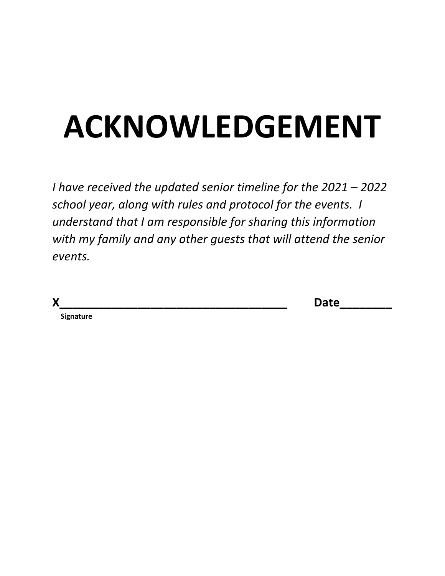# **ACKNOWLEDGEMENT**

*I have received the updated senior timeline for the 2021 – 2022 school year, along with rules and protocol for the events. I understand that I am responsible for sharing this information with my family and any other guests that will attend the senior events.*

| X | n.l.<br>Purc |
|---|--------------|
|   |              |

 **Signature**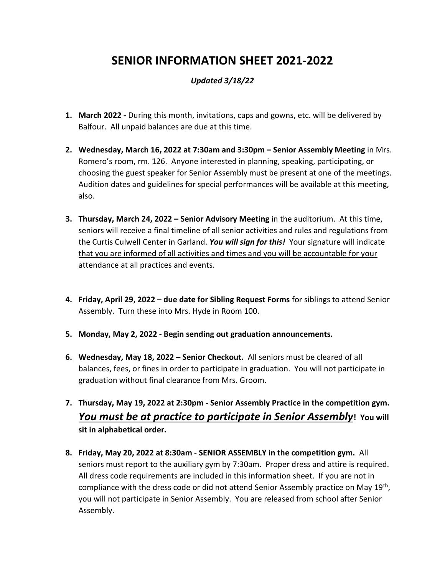# **SENIOR INFORMATION SHEET 2021-2022**

### *Updated 3/18/22*

- **1. March 2022 -** During this month, invitations, caps and gowns, etc. will be delivered by Balfour. All unpaid balances are due at this time.
- **2. Wednesday, March 16, 2022 at 7:30am and 3:30pm – Senior Assembly Meeting** in Mrs. Romero's room, rm. 126. Anyone interested in planning, speaking, participating, or choosing the guest speaker for Senior Assembly must be present at one of the meetings. Audition dates and guidelines for special performances will be available at this meeting, also.
- **3. Thursday, March 24, 2022 – Senior Advisory Meeting** in the auditorium. At this time, seniors will receive a final timeline of all senior activities and rules and regulations from the Curtis Culwell Center in Garland. *You will sign for this!* Your signature will indicate that you are informed of all activities and times and you will be accountable for your attendance at all practices and events.
- **4. Friday, April 29, 2022 – due date for Sibling Request Forms** for siblings to attend Senior Assembly. Turn these into Mrs. Hyde in Room 100.
- **5. Monday, May 2, 2022 - Begin sending out graduation announcements.**
- **6. Wednesday, May 18, 2022 – Senior Checkout.** All seniors must be cleared of all balances, fees, or fines in order to participate in graduation. You will not participate in graduation without final clearance from Mrs. Groom.

## **7. Thursday, May 19, 2022 at 2:30pm - Senior Assembly Practice in the competition gym.**  *You must be at practice to participate in Senior Assembly***! You will sit in alphabetical order.**

**8. Friday, May 20, 2022 at 8:30am - SENIOR ASSEMBLY in the competition gym.** All seniors must report to the auxiliary gym by 7:30am. Proper dress and attire is required. All dress code requirements are included in this information sheet. If you are not in compliance with the dress code or did not attend Senior Assembly practice on May 19<sup>th</sup>, you will not participate in Senior Assembly. You are released from school after Senior Assembly.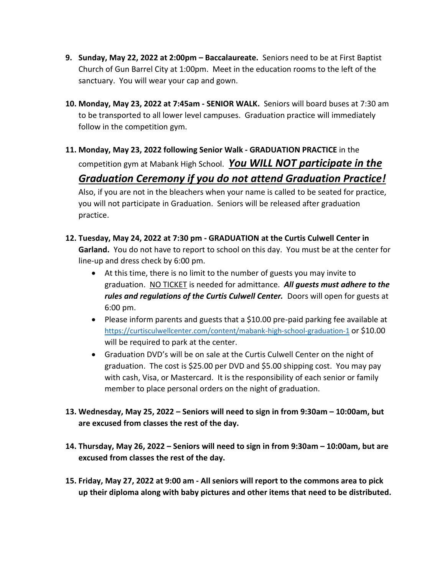- **9. Sunday, May 22, 2022 at 2:00pm – Baccalaureate.** Seniors need to be at First Baptist Church of Gun Barrel City at 1:00pm. Meet in the education rooms to the left of the sanctuary. You will wear your cap and gown.
- **10. Monday, May 23, 2022 at 7:45am - SENIOR WALK.** Seniors will board buses at 7:30 am to be transported to all lower level campuses. Graduation practice will immediately follow in the competition gym.
- **11. Monday, May 23, 2022 following Senior Walk - GRADUATION PRACTICE** in the competition gym at Mabank High School. *You WILL NOT participate in the Graduation Ceremony if you do not attend Graduation Practice!* Also, if you are not in the bleachers when your name is called to be seated for practice, you will not participate in Graduation. Seniors will be released after graduation
- **12. Tuesday, May 24, 2022 at 7:30 pm - GRADUATION at the Curtis Culwell Center in Garland.** You do not have to report to school on this day. You must be at the center for line-up and dress check by 6:00 pm.

practice.

- At this time, there is no limit to the number of guests you may invite to graduation. NO TICKET is needed for admittance. *All guests must adhere to the*  rules and regulations of the Curtis Culwell Center. Doors will open for guests at 6:00 pm.
- Please inform parents and guests that a \$10.00 pre-paid parking fee available at <https://curtisculwellcenter.com/content/mabank-high-school-graduation-1> or \$10.00 will be required to park at the center.
- Graduation DVD's will be on sale at the Curtis Culwell Center on the night of graduation. The cost is \$25.00 per DVD and \$5.00 shipping cost. You may pay with cash, Visa, or Mastercard. It is the responsibility of each senior or family member to place personal orders on the night of graduation.
- **13. Wednesday, May 25, 2022 – Seniors will need to sign in from 9:30am – 10:00am, but are excused from classes the rest of the day.**
- **14. Thursday, May 26, 2022 – Seniors will need to sign in from 9:30am – 10:00am, but are excused from classes the rest of the day.**
- **15. Friday, May 27, 2022 at 9:00 am - All seniors will report to the commons area to pick up their diploma along with baby pictures and other items that need to be distributed.**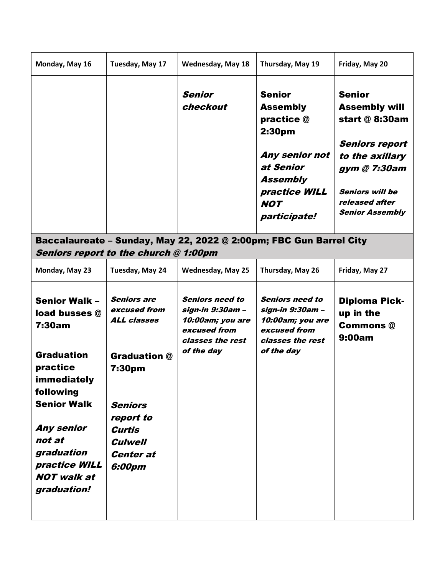| Monday, May 16                                                                                                                                                                                                                        | Tuesday, May 17                                                                                                                                                                           | <b>Wednesday, May 18</b>                                                                                         | Thursday, May 19                                                                                                                                                      | Friday, May 20                                                                                                                                                                            |  |
|---------------------------------------------------------------------------------------------------------------------------------------------------------------------------------------------------------------------------------------|-------------------------------------------------------------------------------------------------------------------------------------------------------------------------------------------|------------------------------------------------------------------------------------------------------------------|-----------------------------------------------------------------------------------------------------------------------------------------------------------------------|-------------------------------------------------------------------------------------------------------------------------------------------------------------------------------------------|--|
|                                                                                                                                                                                                                                       |                                                                                                                                                                                           | <b>Senior</b><br>checkout                                                                                        | <b>Senior</b><br><b>Assembly</b><br>practice @<br>2:30 <sub>pm</sub><br>Any senior not<br>at Senior<br>Assembly<br>practice WILL<br><b>NOT</b><br><i>participate!</i> | <b>Senior</b><br><b>Assembly will</b><br>start @ 8:30am<br><b>Seniors report</b><br>to the axillary<br>gym @ 7:30am<br><b>Seniors will be</b><br>released after<br><b>Senior Assembly</b> |  |
| Baccalaureate - Sunday, May 22, 2022 @ 2:00pm; FBC Gun Barrel City<br>Seniors report to the church @ 1:00pm                                                                                                                           |                                                                                                                                                                                           |                                                                                                                  |                                                                                                                                                                       |                                                                                                                                                                                           |  |
| Monday, May 23                                                                                                                                                                                                                        | Tuesday, May 24                                                                                                                                                                           | <b>Wednesday, May 25</b>                                                                                         | Thursday, May 26                                                                                                                                                      | Friday, May 27                                                                                                                                                                            |  |
| <b>Senior Walk -</b><br>load busses @<br>7:30am<br><b>Graduation</b><br>practice<br>immediately<br>following<br><b>Senior Walk</b><br><b>Any senior</b><br>not at<br>graduation<br>practice WILL<br><b>NOT</b> walk at<br>graduation! | <b>Seniors are</b><br>excused from<br><b>ALL classes</b><br><b>Graduation @</b><br>7:30pm<br><b>Seniors</b><br>report to<br><b>Curtis</b><br><b>Culwell</b><br><b>Center at</b><br>6:00pm | <b>Seniors need to</b><br>sign-in 9:30am -<br>10:00am; you are<br>excused from<br>classes the rest<br>of the day | <b>Seniors need to</b><br>sign-in 9:30am –<br>10:00am; you are<br>excused from<br>classes the rest<br>of the day                                                      | <b>Diploma Pick-</b><br>up in the<br><b>Commons</b> @<br>9:00am                                                                                                                           |  |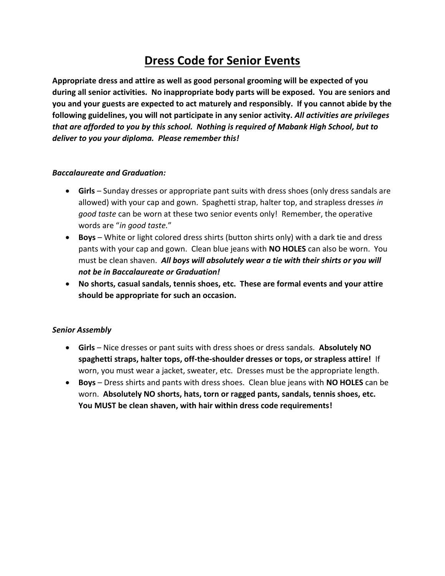# **Dress Code for Senior Events**

**Appropriate dress and attire as well as good personal grooming will be expected of you during all senior activities. No inappropriate body parts will be exposed. You are seniors and you and your guests are expected to act maturely and responsibly. If you cannot abide by the following guidelines, you will not participate in any senior activity.** *All activities are privileges that are afforded to you by this school. Nothing is required of Mabank High School, but to deliver to you your diploma. Please remember this!*

#### *Baccalaureate and Graduation:*

- **Girls**  Sunday dresses or appropriate pant suits with dress shoes (only dress sandals are allowed) with your cap and gown. Spaghetti strap, halter top, and strapless dresses *in good taste* can be worn at these two senior events only! Remember, the operative words are "*in good taste.*"
- **Boys** White or light colored dress shirts (button shirts only) with a dark tie and dress pants with your cap and gown. Clean blue jeans with **NO HOLES** can also be worn. You must be clean shaven. *All boys will absolutely wear a tie with their shirts or you will not be in Baccalaureate or Graduation!*
- **No shorts, casual sandals, tennis shoes, etc. These are formal events and your attire should be appropriate for such an occasion.**

#### *Senior Assembly*

- **Girls**  Nice dresses or pant suits with dress shoes or dress sandals. **Absolutely NO spaghetti straps, halter tops, off-the-shoulder dresses or tops, or strapless attire!** If worn, you must wear a jacket, sweater, etc. Dresses must be the appropriate length.
- **Boys** Dress shirts and pants with dress shoes. Clean blue jeans with **NO HOLES** can be worn. **Absolutely NO shorts, hats, torn or ragged pants, sandals, tennis shoes, etc. You MUST be clean shaven, with hair within dress code requirements!**